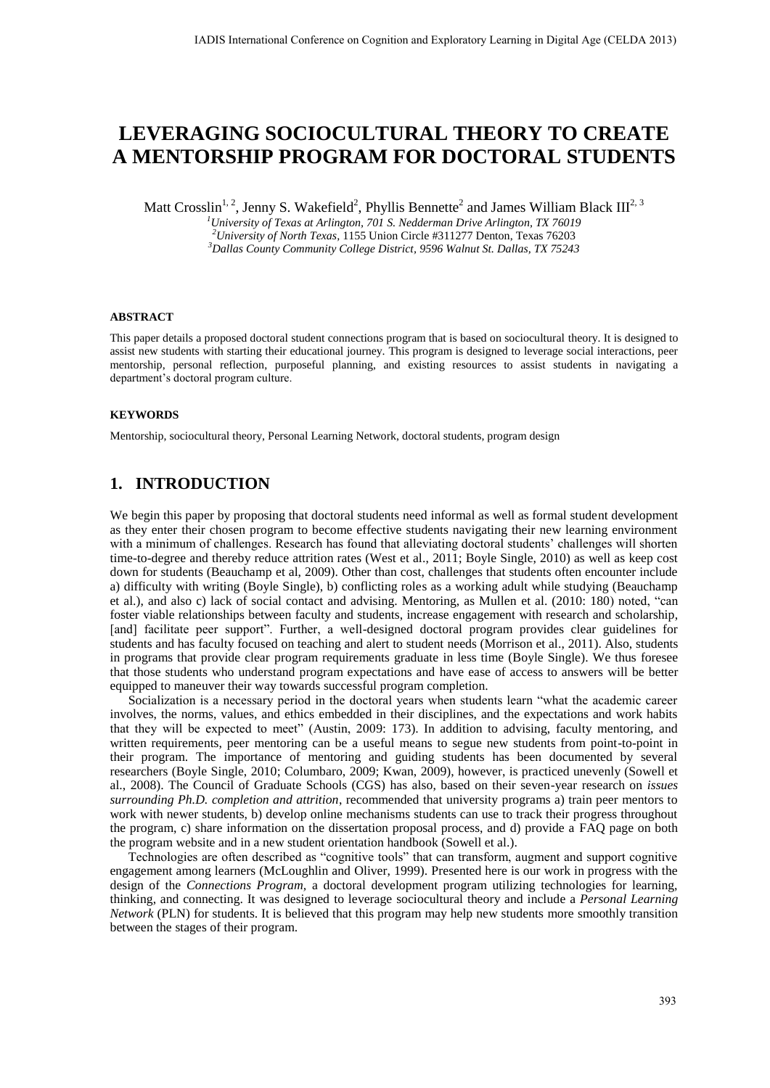# **LEVERAGING SOCIOCULTURAL THEORY TO CREATE A MENTORSHIP PROGRAM FOR DOCTORAL STUDENTS**

Matt Crosslin<sup>1, 2</sup>, Jenny S. Wakefield<sup>2</sup>, Phyllis Bennette<sup>2</sup> and James William Black III<sup>2, 3</sup>

*<sup>1</sup>University of Texas at Arlington, 701 S. Nedderman Drive Arlington, TX 76019 <sup>2</sup>University of North Texas,* 1155 Union Circle #311277 Denton, Texas 76203 *<sup>3</sup>Dallas County Community College District, 9596 Walnut St. Dallas, TX 75243* 

#### **ABSTRACT**

This paper details a proposed doctoral student connections program that is based on sociocultural theory. It is designed to assist new students with starting their educational journey. This program is designed to leverage social interactions, peer mentorship, personal reflection, purposeful planning, and existing resources to assist students in navigating a department's doctoral program culture.

#### **KEYWORDS**

Mentorship, sociocultural theory, Personal Learning Network, doctoral students, program design

## **1. INTRODUCTION**

We begin this paper by proposing that doctoral students need informal as well as formal student development as they enter their chosen program to become effective students navigating their new learning environment with a minimum of challenges. Research has found that alleviating doctoral students' challenges will shorten time-to-degree and thereby reduce attrition rates (West et al., 2011; Boyle Single, 2010) as well as keep cost down for students (Beauchamp et al, 2009). Other than cost, challenges that students often encounter include a) difficulty with writing (Boyle Single), b) conflicting roles as a working adult while studying (Beauchamp et al.), and also c) lack of social contact and advising. Mentoring, as Mullen et al. (2010: 180) noted, "can foster viable relationships between faculty and students, increase engagement with research and scholarship, [and] facilitate peer support". Further, a well-designed doctoral program provides clear guidelines for students and has faculty focused on teaching and alert to student needs (Morrison et al., 2011). Also, students in programs that provide clear program requirements graduate in less time (Boyle Single). We thus foresee that those students who understand program expectations and have ease of access to answers will be better equipped to maneuver their way towards successful program completion.

Socialization is a necessary period in the doctoral years when students learn "what the academic career involves, the norms, values, and ethics embedded in their disciplines, and the expectations and work habits that they will be expected to meet" (Austin, 2009: 173). In addition to advising, faculty mentoring, and written requirements, peer mentoring can be a useful means to segue new students from point-to-point in their program. The importance of mentoring and guiding students has been documented by several researchers (Boyle Single, 2010; Columbaro, 2009; Kwan, 2009), however, is practiced unevenly (Sowell et al., 2008). The Council of Graduate Schools (CGS) has also, based on their seven-year research on *issues surrounding Ph.D. completion and attrition*, recommended that university programs a) train peer mentors to work with newer students, b) develop online mechanisms students can use to track their progress throughout the program, c) share information on the dissertation proposal process, and d) provide a FAQ page on both the program website and in a new student orientation handbook (Sowell et al.).

Technologies are often described as "cognitive tools" that can transform, augment and support cognitive engagement among learners (McLoughlin and Oliver, 1999). Presented here is our work in progress with the design of the *Connections Program,* a doctoral development program utilizing technologies for learning, thinking, and connecting. It was designed to leverage sociocultural theory and include a *Personal Learning Network* (PLN) for students. It is believed that this program may help new students more smoothly transition between the stages of their program.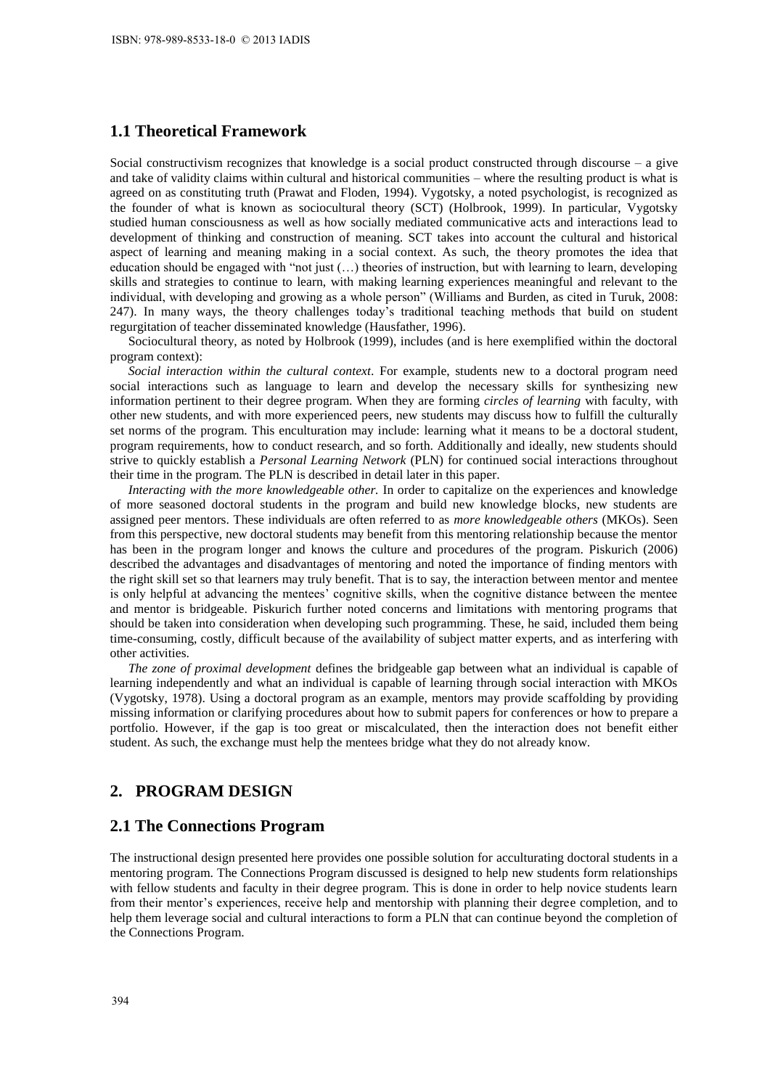### **1.1 Theoretical Framework**

Social constructivism recognizes that knowledge is a social product constructed through discourse – a give and take of validity claims within cultural and historical communities – where the resulting product is what is agreed on as constituting truth (Prawat and Floden, 1994). Vygotsky, a noted psychologist, is recognized as the founder of what is known as sociocultural theory (SCT) (Holbrook, 1999). In particular, Vygotsky studied human consciousness as well as how socially mediated communicative acts and interactions lead to development of thinking and construction of meaning. SCT takes into account the cultural and historical aspect of learning and meaning making in a social context. As such, the theory promotes the idea that education should be engaged with "not just (…) theories of instruction, but with learning to learn, developing skills and strategies to continue to learn, with making learning experiences meaningful and relevant to the individual, with developing and growing as a whole person" (Williams and Burden, as cited in Turuk, 2008: 247). In many ways, the theory challenges today's traditional teaching methods that build on student regurgitation of teacher disseminated knowledge (Hausfather, 1996).

Sociocultural theory, as noted by Holbrook (1999), includes (and is here exemplified within the doctoral program context):

*Social interaction within the cultural context*. For example, students new to a doctoral program need social interactions such as language to learn and develop the necessary skills for synthesizing new information pertinent to their degree program. When they are forming *circles of learning* with faculty, with other new students, and with more experienced peers, new students may discuss how to fulfill the culturally set norms of the program. This enculturation may include: learning what it means to be a doctoral student, program requirements, how to conduct research, and so forth. Additionally and ideally, new students should strive to quickly establish a *Personal Learning Network* (PLN) for continued social interactions throughout their time in the program. The PLN is described in detail later in this paper.

*Interacting with the more knowledgeable other.* In order to capitalize on the experiences and knowledge of more seasoned doctoral students in the program and build new knowledge blocks, new students are assigned peer mentors. These individuals are often referred to as *more knowledgeable others* (MKOs). Seen from this perspective, new doctoral students may benefit from this mentoring relationship because the mentor has been in the program longer and knows the culture and procedures of the program. Piskurich (2006) described the advantages and disadvantages of mentoring and noted the importance of finding mentors with the right skill set so that learners may truly benefit. That is to say, the interaction between mentor and mentee is only helpful at advancing the mentees' cognitive skills, when the cognitive distance between the mentee and mentor is bridgeable. Piskurich further noted concerns and limitations with mentoring programs that should be taken into consideration when developing such programming. These, he said, included them being time-consuming, costly, difficult because of the availability of subject matter experts, and as interfering with other activities.

*The zone of proximal development* defines the bridgeable gap between what an individual is capable of learning independently and what an individual is capable of learning through social interaction with MKOs (Vygotsky, 1978). Using a doctoral program as an example, mentors may provide scaffolding by providing missing information or clarifying procedures about how to submit papers for conferences or how to prepare a portfolio. However, if the gap is too great or miscalculated, then the interaction does not benefit either student. As such, the exchange must help the mentees bridge what they do not already know.

## **2. PROGRAM DESIGN**

#### **2.1 The Connections Program**

The instructional design presented here provides one possible solution for acculturating doctoral students in a mentoring program. The Connections Program discussed is designed to help new students form relationships with fellow students and faculty in their degree program. This is done in order to help novice students learn from their mentor's experiences, receive help and mentorship with planning their degree completion, and to help them leverage social and cultural interactions to form a PLN that can continue beyond the completion of the Connections Program.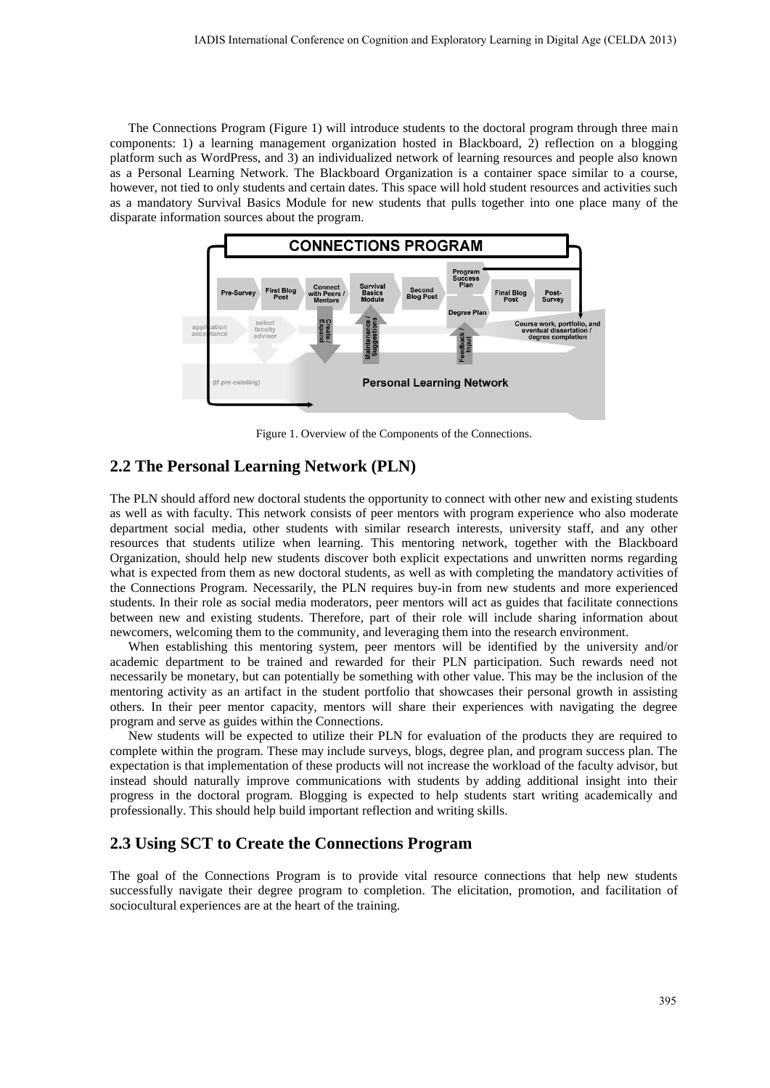The Connections Program (Figure 1) will introduce students to the doctoral program through three main components: 1) a learning management organization hosted in Blackboard, 2) reflection on a blogging platform such as WordPress, and 3) an individualized network of learning resources and people also known as a Personal Learning Network. The Blackboard Organization is a container space similar to a course, however, not tied to only students and certain dates. This space will hold student resources and activities such as a mandatory Survival Basics Module for new students that pulls together into one place many of the disparate information sources about the program.



Figure 1. Overview of the Components of the Connections.

#### **2.2 The Personal Learning Network (PLN)**

The PLN should afford new doctoral students the opportunity to connect with other new and existing students as well as with faculty. This network consists of peer mentors with program experience who also moderate department social media, other students with similar research interests, university staff, and any other resources that students utilize when learning. This mentoring network, together with the Blackboard Organization, should help new students discover both explicit expectations and unwritten norms regarding what is expected from them as new doctoral students, as well as with completing the mandatory activities of the Connections Program. Necessarily, the PLN requires buy-in from new students and more experienced students. In their role as social media moderators, peer mentors will act as guides that facilitate connections between new and existing students. Therefore, part of their role will include sharing information about newcomers, welcoming them to the community, and leveraging them into the research environment.

When establishing this mentoring system, peer mentors will be identified by the university and/or academic department to be trained and rewarded for their PLN participation. Such rewards need not necessarily be monetary, but can potentially be something with other value. This may be the inclusion of the mentoring activity as an artifact in the student portfolio that showcases their personal growth in assisting others. In their peer mentor capacity, mentors will share their experiences with navigating the degree program and serve as guides within the Connections.

New students will be expected to utilize their PLN for evaluation of the products they are required to complete within the program. These may include surveys, blogs, degree plan, and program success plan. The expectation is that implementation of these products will not increase the workload of the faculty advisor, but instead should naturally improve communications with students by adding additional insight into their progress in the doctoral program. Blogging is expected to help students start writing academically and professionally. This should help build important reflection and writing skills.

## **2.3 Using SCT to Create the Connections Program**

The goal of the Connections Program is to provide vital resource connections that help new students successfully navigate their degree program to completion. The elicitation, promotion, and facilitation of sociocultural experiences are at the heart of the training.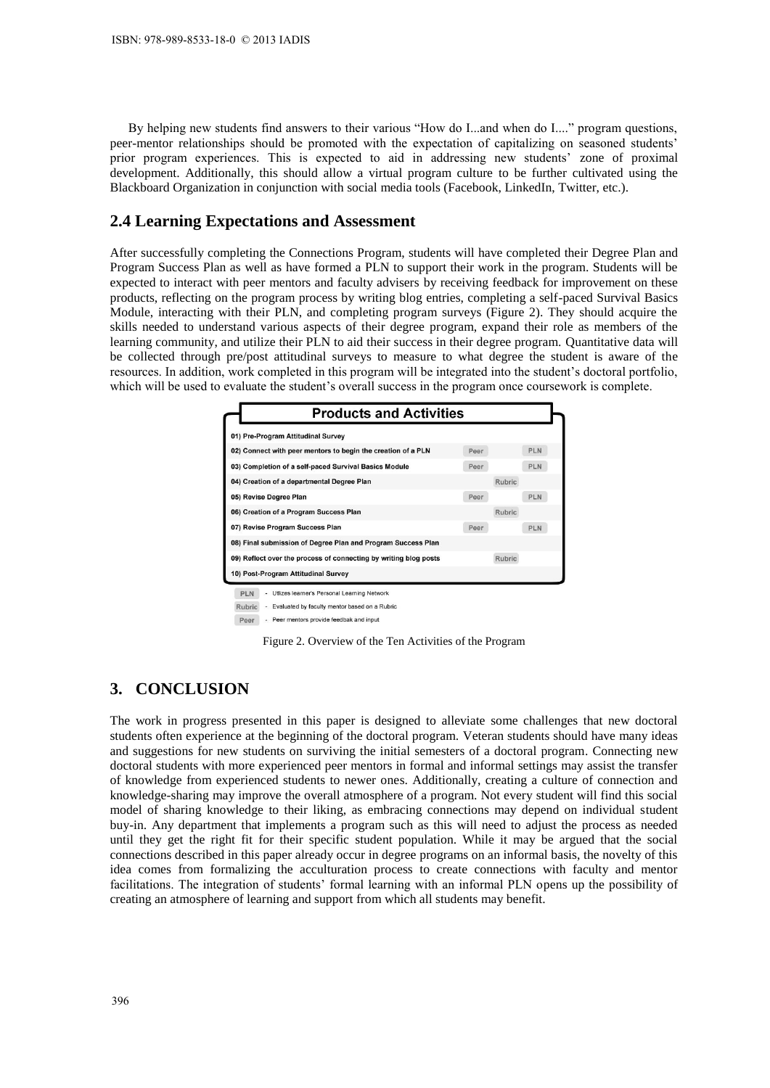By helping new students find answers to their various "How do I...and when do I...." program questions, peer-mentor relationships should be promoted with the expectation of capitalizing on seasoned students' prior program experiences. This is expected to aid in addressing new students' zone of proximal development. Additionally, this should allow a virtual program culture to be further cultivated using the Blackboard Organization in conjunction with social media tools (Facebook, LinkedIn, Twitter, etc.).

#### **2.4 Learning Expectations and Assessment**

After successfully completing the Connections Program, students will have completed their Degree Plan and Program Success Plan as well as have formed a PLN to support their work in the program. Students will be expected to interact with peer mentors and faculty advisers by receiving feedback for improvement on these products, reflecting on the program process by writing blog entries, completing a self-paced Survival Basics Module, interacting with their PLN, and completing program surveys (Figure 2). They should acquire the skills needed to understand various aspects of their degree program, expand their role as members of the learning community, and utilize their PLN to aid their success in their degree program. Quantitative data will be collected through pre/post attitudinal surveys to measure to what degree the student is aware of the resources. In addition, work completed in this program will be integrated into the student's doctoral portfolio, which will be used to evaluate the student's overall success in the program once coursework is complete.

| 01) Pre-Program Attitudinal Survey                               |      |               |            |
|------------------------------------------------------------------|------|---------------|------------|
| 02) Connect with peer mentors to begin the creation of a PLN     | Peer |               | <b>PLN</b> |
| 03) Completion of a self-paced Survival Basics Module            | Peer |               | <b>PLN</b> |
| 04) Creation of a departmental Degree Plan                       |      | <b>Rubric</b> |            |
| 05) Revise Degree Plan                                           | Peer |               | <b>PLN</b> |
| 06) Creation of a Program Success Plan                           |      | <b>Rubric</b> |            |
| 07) Revise Program Success Plan                                  | Peer |               | <b>PLN</b> |
| 08) Final submission of Degree Plan and Program Success Plan     |      |               |            |
| 09) Reflect over the process of connecting by writing blog posts |      | <b>Rubric</b> |            |
| 10) Post-Program Attitudinal Survey                              |      |               |            |

Peer - Peer mentors provide feedbak and input

Figure 2. Overview of the Ten Activities of the Program

## **3. CONCLUSION**

The work in progress presented in this paper is designed to alleviate some challenges that new doctoral students often experience at the beginning of the doctoral program. Veteran students should have many ideas and suggestions for new students on surviving the initial semesters of a doctoral program. Connecting new doctoral students with more experienced peer mentors in formal and informal settings may assist the transfer of knowledge from experienced students to newer ones. Additionally, creating a culture of connection and knowledge-sharing may improve the overall atmosphere of a program. Not every student will find this social model of sharing knowledge to their liking, as embracing connections may depend on individual student buy-in. Any department that implements a program such as this will need to adjust the process as needed until they get the right fit for their specific student population. While it may be argued that the social connections described in this paper already occur in degree programs on an informal basis, the novelty of this idea comes from formalizing the acculturation process to create connections with faculty and mentor facilitations. The integration of students' formal learning with an informal PLN opens up the possibility of creating an atmosphere of learning and support from which all students may benefit.